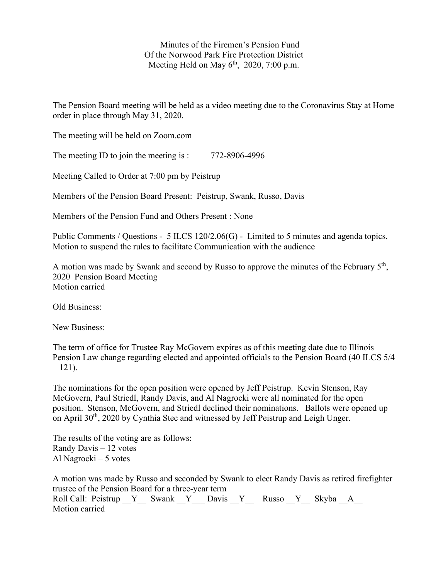Minutes of the Firemen's Pension Fund Of the Norwood Park Fire Protection District Meeting Held on May  $6<sup>th</sup>$ , 2020, 7:00 p.m.

The Pension Board meeting will be held as a video meeting due to the Coronavirus Stay at Home order in place through May 31, 2020.

The meeting will be held on Zoom.com

The meeting ID to join the meeting is : 772-8906-4996

Meeting Called to Order at 7:00 pm by Peistrup

Members of the Pension Board Present: Peistrup, Swank, Russo, Davis

Members of the Pension Fund and Others Present : None

Public Comments / Questions - 5 ILCS 120/2.06(G) - Limited to 5 minutes and agenda topics. Motion to suspend the rules to facilitate Communication with the audience

A motion was made by Swank and second by Russo to approve the minutes of the February 5th, 2020 Pension Board Meeting Motion carried

Old Business:

New Business:

The term of office for Trustee Ray McGovern expires as of this meeting date due to Illinois Pension Law change regarding elected and appointed officials to the Pension Board (40 ILCS 5/4  $-121$ ).

The nominations for the open position were opened by Jeff Peistrup. Kevin Stenson, Ray McGovern, Paul Striedl, Randy Davis, and Al Nagrocki were all nominated for the open position. Stenson, McGovern, and Striedl declined their nominations. Ballots were opened up on April 30<sup>th</sup>, 2020 by Cynthia Stec and witnessed by Jeff Peistrup and Leigh Unger.

The results of the voting are as follows: Randy Davis – 12 votes Al Nagrocki – 5 votes

A motion was made by Russo and seconded by Swank to elect Randy Davis as retired firefighter trustee of the Pension Board for a three-year term Roll Call: Peistrup \_\_Y\_\_\_ Swank \_\_Y\_\_\_ Davis \_\_Y\_\_\_\_ Russo \_\_Y\_\_\_ Skyba \_\_A\_\_\_ Motion carried